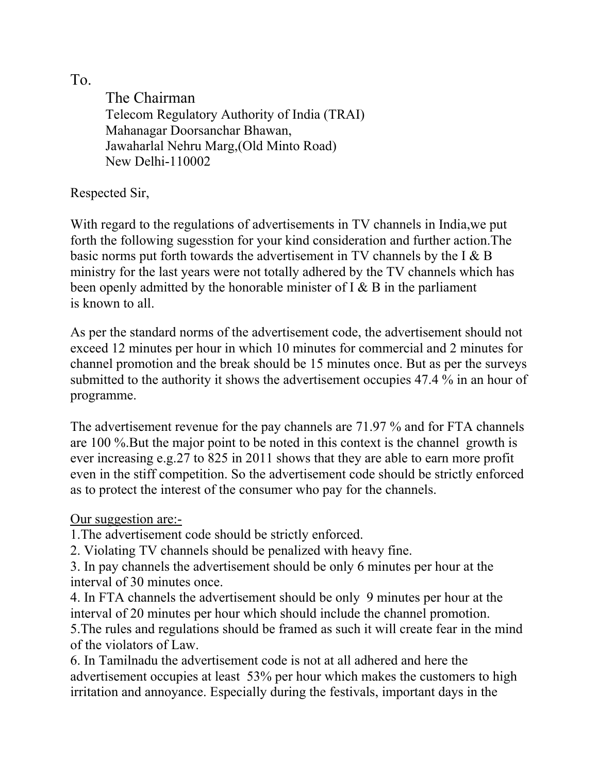To.

The Chairman Telecom Regulatory Authority of India (TRAI) Mahanagar Doorsanchar Bhawan, Jawaharlal Nehru Marg,(Old Minto Road) New Delhi-110002

Respected Sir,

With regard to the regulations of advertisements in TV channels in India,we put forth the following sugesstion for your kind consideration and further action.The basic norms put forth towards the advertisement in TV channels by the I & B ministry for the last years were not totally adhered by the TV channels which has been openly admitted by the honorable minister of I & B in the parliament is known to all.

As per the standard norms of the advertisement code, the advertisement should not exceed 12 minutes per hour in which 10 minutes for commercial and 2 minutes for channel promotion and the break should be 15 minutes once. But as per the surveys submitted to the authority it shows the advertisement occupies 47.4 % in an hour of programme.

The advertisement revenue for the pay channels are 71.97 % and for FTA channels are 100 %.But the major point to be noted in this context is the channel growth is ever increasing e.g.27 to 825 in 2011 shows that they are able to earn more profit even in the stiff competition. So the advertisement code should be strictly enforced as to protect the interest of the consumer who pay for the channels.

Our suggestion are:-

1.The advertisement code should be strictly enforced.

2. Violating TV channels should be penalized with heavy fine.

3. In pay channels the advertisement should be only 6 minutes per hour at the interval of 30 minutes once.

4. In FTA channels the advertisement should be only 9 minutes per hour at the interval of 20 minutes per hour which should include the channel promotion.

5.The rules and regulations should be framed as such it will create fear in the mind of the violators of Law.

6. In Tamilnadu the advertisement code is not at all adhered and here the advertisement occupies at least 53% per hour which makes the customers to high irritation and annoyance. Especially during the festivals, important days in the